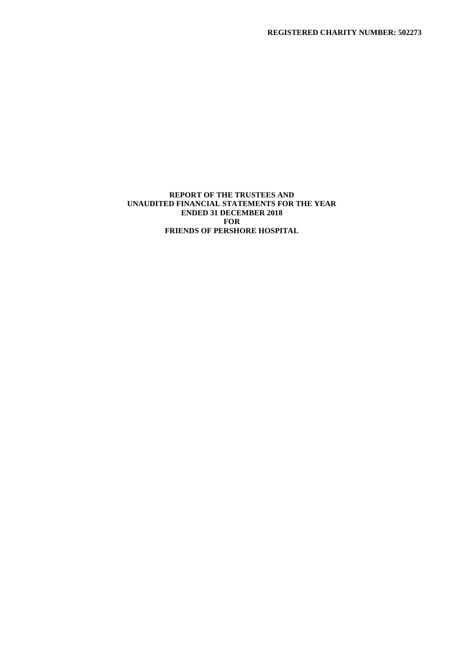## **REPORT OF THE TRUSTEES AND UNAUDITED FINANCIAL STATEMENTS FOR THE YEAR ENDED 31 DECEMBER 2018 FOR FRIENDS OF PERSHORE HOSPITAL**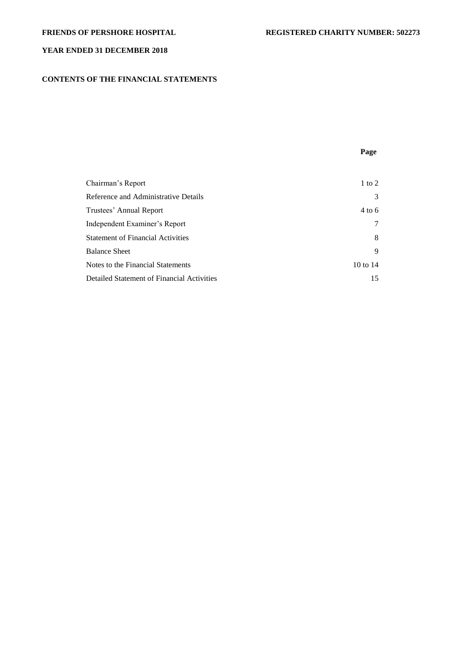# **CONTENTS OF THE FINANCIAL STATEMENTS**

**Page**

| Chairman's Report                          | 1 to 2              |
|--------------------------------------------|---------------------|
| Reference and Administrative Details       | 3                   |
| Trustees' Annual Report                    | 4 to 6              |
| Independent Examiner's Report              | 7                   |
| <b>Statement of Financial Activities</b>   | 8                   |
| <b>Balance Sheet</b>                       | 9                   |
| Notes to the Financial Statements          | $10 \text{ to } 14$ |
| Detailed Statement of Financial Activities | 15                  |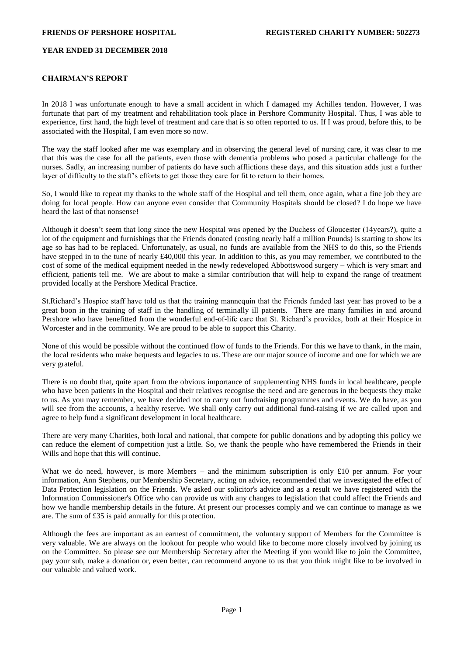## **CHAIRMAN'S REPORT**

In 2018 I was unfortunate enough to have a small accident in which I damaged my Achilles tendon. However, I was fortunate that part of my treatment and rehabilitation took place in Pershore Community Hospital. Thus, I was able to experience, first hand, the high level of treatment and care that is so often reported to us. If I was proud, before this, to be associated with the Hospital, I am even more so now.

The way the staff looked after me was exemplary and in observing the general level of nursing care, it was clear to me that this was the case for all the patients, even those with dementia problems who posed a particular challenge for the nurses. Sadly, an increasing number of patients do have such afflictions these days, and this situation adds just a further layer of difficulty to the staff's efforts to get those they care for fit to return to their homes.

So, I would like to repeat my thanks to the whole staff of the Hospital and tell them, once again, what a fine job they are doing for local people. How can anyone even consider that Community Hospitals should be closed? I do hope we have heard the last of that nonsense!

Although it doesn't seem that long since the new Hospital was opened by the Duchess of Gloucester (14years?), quite a lot of the equipment and furnishings that the Friends donated (costing nearly half a million Pounds) is starting to show its age so has had to be replaced. Unfortunately, as usual, no funds are available from the NHS to do this, so the Friends have stepped in to the tune of nearly £40,000 this year. In addition to this, as you may remember, we contributed to the cost of some of the medical equipment needed in the newly redeveloped Abbottswood surgery – which is very smart and efficient, patients tell me. We are about to make a similar contribution that will help to expand the range of treatment provided locally at the Pershore Medical Practice.

St.Richard's Hospice staff have told us that the training mannequin that the Friends funded last year has proved to be a great boon in the training of staff in the handling of terminally ill patients. There are many families in and around Pershore who have benefitted from the wonderful end-of-life care that St. Richard's provides, both at their Hospice in Worcester and in the community. We are proud to be able to support this Charity.

None of this would be possible without the continued flow of funds to the Friends. For this we have to thank, in the main, the local residents who make bequests and legacies to us. These are our major source of income and one for which we are very grateful.

There is no doubt that, quite apart from the obvious importance of supplementing NHS funds in local healthcare, people who have been patients in the Hospital and their relatives recognise the need and are generous in the bequests they make to us. As you may remember, we have decided not to carry out fundraising programmes and events. We do have, as you will see from the accounts, a healthy reserve. We shall only carry out additional fund-raising if we are called upon and agree to help fund a significant development in local healthcare.

There are very many Charities, both local and national, that compete for public donations and by adopting this policy we can reduce the element of competition just a little. So, we thank the people who have remembered the Friends in their Wills and hope that this will continue.

What we do need, however, is more Members – and the minimum subscription is only  $\pounds 10$  per annum. For your information, Ann Stephens, our Membership Secretary, acting on advice, recommended that we investigated the effect of Data Protection legislation on the Friends. We asked our solicitor's advice and as a result we have registered with the Information Commissioner's Office who can provide us with any changes to legislation that could affect the Friends and how we handle membership details in the future. At present our processes comply and we can continue to manage as we are. The sum of £35 is paid annually for this protection.

Although the fees are important as an earnest of commitment, the voluntary support of Members for the Committee is very valuable. We are always on the lookout for people who would like to become more closely involved by joining us on the Committee. So please see our Membership Secretary after the Meeting if you would like to join the Committee, pay your sub, make a donation or, even better, can recommend anyone to us that you think might like to be involved in our valuable and valued work.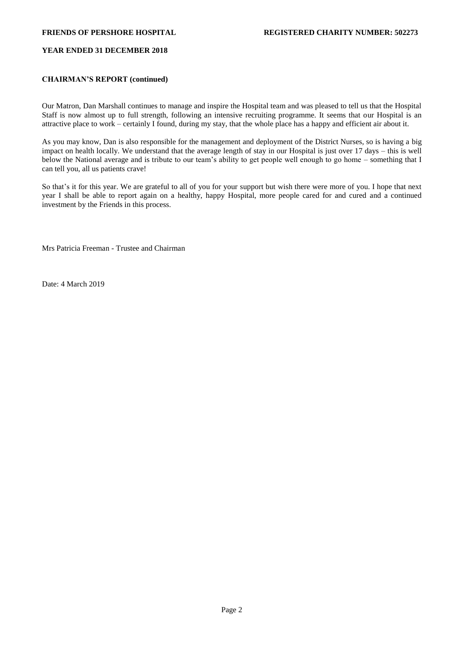## **CHAIRMAN'S REPORT (continued)**

Our Matron, Dan Marshall continues to manage and inspire the Hospital team and was pleased to tell us that the Hospital Staff is now almost up to full strength, following an intensive recruiting programme. It seems that our Hospital is an attractive place to work – certainly I found, during my stay, that the whole place has a happy and efficient air about it.

As you may know, Dan is also responsible for the management and deployment of the District Nurses, so is having a big impact on health locally. We understand that the average length of stay in our Hospital is just over 17 days – this is well below the National average and is tribute to our team's ability to get people well enough to go home – something that I can tell you, all us patients crave!

So that's it for this year. We are grateful to all of you for your support but wish there were more of you. I hope that next year I shall be able to report again on a healthy, happy Hospital, more people cared for and cured and a continued investment by the Friends in this process.

Mrs Patricia Freeman - Trustee and Chairman

Date: 4 March 2019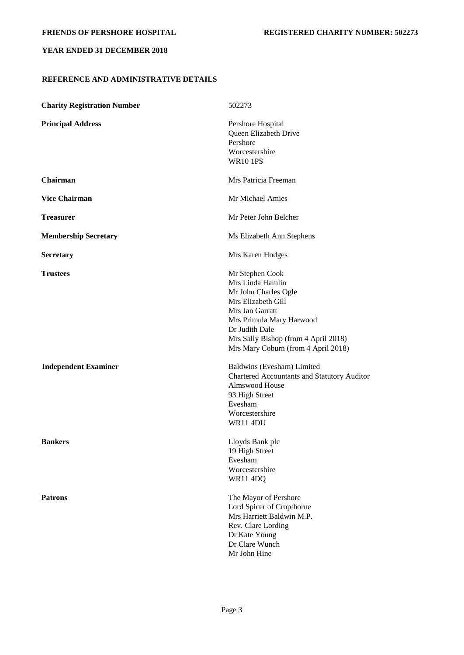# **REFERENCE AND ADMINISTRATIVE DETAILS**

| <b>Charity Registration Number</b> | 502273                                                                                                                                                                                                                            |
|------------------------------------|-----------------------------------------------------------------------------------------------------------------------------------------------------------------------------------------------------------------------------------|
| <b>Principal Address</b>           | Pershore Hospital<br>Queen Elizabeth Drive<br>Pershore<br>Worcestershire<br><b>WR10 1PS</b>                                                                                                                                       |
| <b>Chairman</b>                    | Mrs Patricia Freeman                                                                                                                                                                                                              |
| <b>Vice Chairman</b>               | Mr Michael Amies                                                                                                                                                                                                                  |
| Treasurer                          | Mr Peter John Belcher                                                                                                                                                                                                             |
| <b>Membership Secretary</b>        | Ms Elizabeth Ann Stephens                                                                                                                                                                                                         |
| <b>Secretary</b>                   | Mrs Karen Hodges                                                                                                                                                                                                                  |
| <b>Trustees</b>                    | Mr Stephen Cook<br>Mrs Linda Hamlin<br>Mr John Charles Ogle<br>Mrs Elizabeth Gill<br>Mrs Jan Garratt<br>Mrs Primula Mary Harwood<br>Dr Judith Dale<br>Mrs Sally Bishop (from 4 April 2018)<br>Mrs Mary Coburn (from 4 April 2018) |
| <b>Independent Examiner</b>        | Baldwins (Evesham) Limited<br>Chartered Accountants and Statutory Auditor<br>Almswood House<br>93 High Street<br>Evesham<br>Worcestershire<br><b>WR11 4DU</b>                                                                     |
| <b>Bankers</b>                     | Lloyds Bank plc<br>19 High Street<br>Evesham<br>Worcestershire<br><b>WR11 4DQ</b>                                                                                                                                                 |
| <b>Patrons</b>                     | The Mayor of Pershore<br>Lord Spicer of Cropthorne<br>Mrs Harriett Baldwin M.P.<br>Rev. Clare Lording<br>Dr Kate Young<br>Dr Clare Wunch<br>Mr John Hine                                                                          |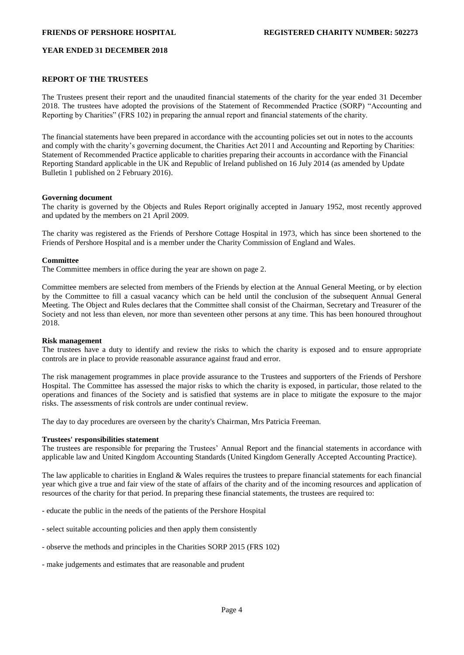### **REPORT OF THE TRUSTEES**

The Trustees present their report and the unaudited financial statements of the charity for the year ended 31 December 2018. The trustees have adopted the provisions of the Statement of Recommended Practice (SORP) "Accounting and Reporting by Charities" (FRS 102) in preparing the annual report and financial statements of the charity.

The financial statements have been prepared in accordance with the accounting policies set out in notes to the accounts and comply with the charity's governing document, the Charities Act 2011 and Accounting and Reporting by Charities: Statement of Recommended Practice applicable to charities preparing their accounts in accordance with the Financial Reporting Standard applicable in the UK and Republic of Ireland published on 16 July 2014 (as amended by Update Bulletin 1 published on 2 February 2016).

### **Governing document**

The charity is governed by the Objects and Rules Report originally accepted in January 1952, most recently approved and updated by the members on 21 April 2009.

The charity was registered as the Friends of Pershore Cottage Hospital in 1973, which has since been shortened to the Friends of Pershore Hospital and is a member under the Charity Commission of England and Wales.

### **Committee**

The Committee members in office during the year are shown on page 2.

Committee members are selected from members of the Friends by election at the Annual General Meeting, or by election by the Committee to fill a casual vacancy which can be held until the conclusion of the subsequent Annual General Meeting. The Object and Rules declares that the Committee shall consist of the Chairman, Secretary and Treasurer of the Society and not less than eleven, nor more than seventeen other persons at any time. This has been honoured throughout 2018.

### **Risk management**

The trustees have a duty to identify and review the risks to which the charity is exposed and to ensure appropriate controls are in place to provide reasonable assurance against fraud and error.

The risk management programmes in place provide assurance to the Trustees and supporters of the Friends of Pershore Hospital. The Committee has assessed the major risks to which the charity is exposed, in particular, those related to the operations and finances of the Society and is satisfied that systems are in place to mitigate the exposure to the major risks. The assessments of risk controls are under continual review.

The day to day procedures are overseen by the charity's Chairman, Mrs Patricia Freeman.

### **Trustees' responsibilities statement**

The trustees are responsible for preparing the Trustees' Annual Report and the financial statements in accordance with applicable law and United Kingdom Accounting Standards (United Kingdom Generally Accepted Accounting Practice).

The law applicable to charities in England & Wales requires the trustees to prepare financial statements for each financial year which give a true and fair view of the state of affairs of the charity and of the incoming resources and application of resources of the charity for that period. In preparing these financial statements, the trustees are required to:

- educate the public in the needs of the patients of the Pershore Hospital
- select suitable accounting policies and then apply them consistently
- observe the methods and principles in the Charities SORP 2015 (FRS 102)
- make judgements and estimates that are reasonable and prudent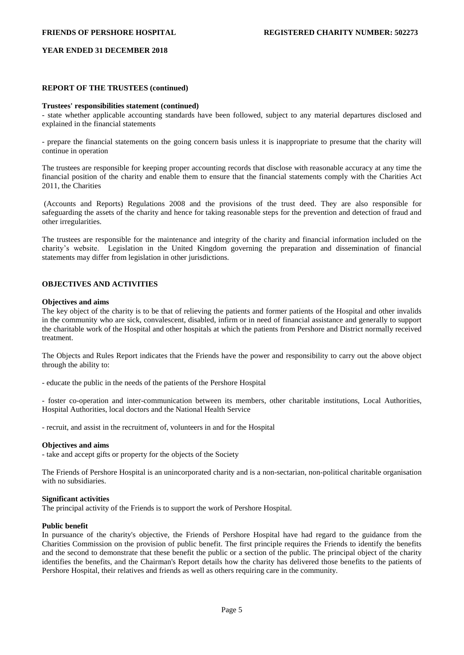### **REPORT OF THE TRUSTEES (continued)**

### **Trustees' responsibilities statement (continued)**

- state whether applicable accounting standards have been followed, subject to any material departures disclosed and explained in the financial statements

- prepare the financial statements on the going concern basis unless it is inappropriate to presume that the charity will continue in operation

The trustees are responsible for keeping proper accounting records that disclose with reasonable accuracy at any time the financial position of the charity and enable them to ensure that the financial statements comply with the Charities Act 2011, the Charities

(Accounts and Reports) Regulations 2008 and the provisions of the trust deed. They are also responsible for safeguarding the assets of the charity and hence for taking reasonable steps for the prevention and detection of fraud and other irregularities.

The trustees are responsible for the maintenance and integrity of the charity and financial information included on the charity's website. Legislation in the United Kingdom governing the preparation and dissemination of financial statements may differ from legislation in other jurisdictions.

## **OBJECTIVES AND ACTIVITIES**

### **Objectives and aims**

The key object of the charity is to be that of relieving the patients and former patients of the Hospital and other invalids in the community who are sick, convalescent, disabled, infirm or in need of financial assistance and generally to support the charitable work of the Hospital and other hospitals at which the patients from Pershore and District normally received treatment.

The Objects and Rules Report indicates that the Friends have the power and responsibility to carry out the above object through the ability to:

- educate the public in the needs of the patients of the Pershore Hospital

- foster co-operation and inter-communication between its members, other charitable institutions, Local Authorities, Hospital Authorities, local doctors and the National Health Service

- recruit, and assist in the recruitment of, volunteers in and for the Hospital

### **Objectives and aims**

- take and accept gifts or property for the objects of the Society

The Friends of Pershore Hospital is an unincorporated charity and is a non-sectarian, non-political charitable organisation with no subsidiaries.

### **Significant activities**

The principal activity of the Friends is to support the work of Pershore Hospital.

### **Public benefit**

In pursuance of the charity's objective, the Friends of Pershore Hospital have had regard to the guidance from the Charities Commission on the provision of public benefit. The first principle requires the Friends to identify the benefits and the second to demonstrate that these benefit the public or a section of the public. The principal object of the charity identifies the benefits, and the Chairman's Report details how the charity has delivered those benefits to the patients of Pershore Hospital, their relatives and friends as well as others requiring care in the community.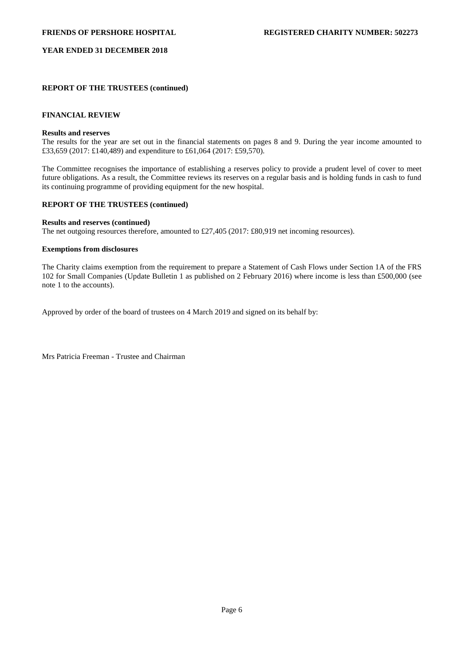## **REPORT OF THE TRUSTEES (continued)**

# **FINANCIAL REVIEW**

### **Results and reserves**

The results for the year are set out in the financial statements on pages 8 and 9. During the year income amounted to £33,659 (2017: £140,489) and expenditure to £61,064 (2017: £59,570).

The Committee recognises the importance of establishing a reserves policy to provide a prudent level of cover to meet future obligations. As a result, the Committee reviews its reserves on a regular basis and is holding funds in cash to fund its continuing programme of providing equipment for the new hospital.

# **REPORT OF THE TRUSTEES (continued)**

### **Results and reserves (continued)**

The net outgoing resources therefore, amounted to £27,405 (2017: £80,919 net incoming resources).

### **Exemptions from disclosures**

The Charity claims exemption from the requirement to prepare a Statement of Cash Flows under Section 1A of the FRS 102 for Small Companies (Update Bulletin 1 as published on 2 February 2016) where income is less than £500,000 (see note 1 to the accounts).

Approved by order of the board of trustees on 4 March 2019 and signed on its behalf by:

Mrs Patricia Freeman - Trustee and Chairman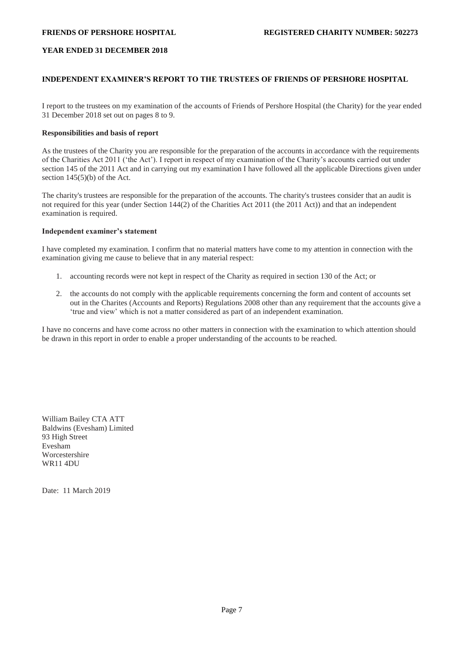## **INDEPENDENT EXAMINER'S REPORT TO THE TRUSTEES OF FRIENDS OF PERSHORE HOSPITAL**

I report to the trustees on my examination of the accounts of Friends of Pershore Hospital (the Charity) for the year ended 31 December 2018 set out on pages 8 to 9.

## **Responsibilities and basis of report**

As the trustees of the Charity you are responsible for the preparation of the accounts in accordance with the requirements of the Charities Act 2011 ('the Act'). I report in respect of my examination of the Charity's accounts carried out under section 145 of the 2011 Act and in carrying out my examination I have followed all the applicable Directions given under section  $145(5)(b)$  of the Act.

The charity's trustees are responsible for the preparation of the accounts. The charity's trustees consider that an audit is not required for this year (under Section 144(2) of the Charities Act 2011 (the 2011 Act)) and that an independent examination is required.

### **Independent examiner's statement**

I have completed my examination. I confirm that no material matters have come to my attention in connection with the examination giving me cause to believe that in any material respect:

- 1. accounting records were not kept in respect of the Charity as required in section 130 of the Act; or
- 2. the accounts do not comply with the applicable requirements concerning the form and content of accounts set out in the Charites (Accounts and Reports) Regulations 2008 other than any requirement that the accounts give a 'true and view' which is not a matter considered as part of an independent examination.

I have no concerns and have come across no other matters in connection with the examination to which attention should be drawn in this report in order to enable a proper understanding of the accounts to be reached.

William Bailey CTA ATT Baldwins (Evesham) Limited 93 High Street Evesham Worcestershire WR11 4DU

Date: 11 March 2019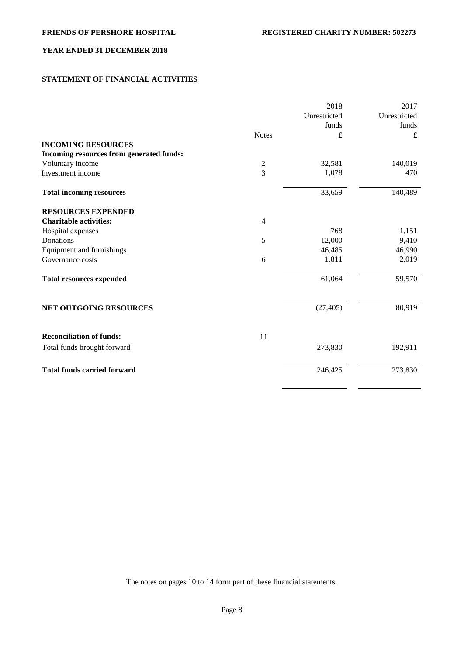# **STATEMENT OF FINANCIAL ACTIVITIES**

|                                          |                | 2018         | 2017         |
|------------------------------------------|----------------|--------------|--------------|
|                                          |                | Unrestricted | Unrestricted |
|                                          |                | funds        | funds        |
|                                          | <b>Notes</b>   | £            | £            |
| <b>INCOMING RESOURCES</b>                |                |              |              |
| Incoming resources from generated funds: |                |              |              |
| Voluntary income                         |                | 32,581       | 140,019      |
| Investment income                        | $\frac{2}{3}$  | 1,078        | 470          |
| <b>Total incoming resources</b>          |                | 33,659       | 140,489      |
| <b>RESOURCES EXPENDED</b>                |                |              |              |
| <b>Charitable activities:</b>            | $\overline{4}$ |              |              |
| Hospital expenses                        |                | 768          | 1,151        |
| Donations                                | 5              | 12,000       | 9,410        |
| Equipment and furnishings                |                | 46,485       | 46,990       |
| Governance costs                         | 6              | 1,811        | 2,019        |
| <b>Total resources expended</b>          |                | 61,064       | 59,570       |
| NET OUTGOING RESOURCES                   |                | (27, 405)    | 80,919       |
| <b>Reconciliation of funds:</b>          | 11             |              |              |
| Total funds brought forward              |                | 273,830      | 192,911      |
| <b>Total funds carried forward</b>       |                | 246,425      | 273,830      |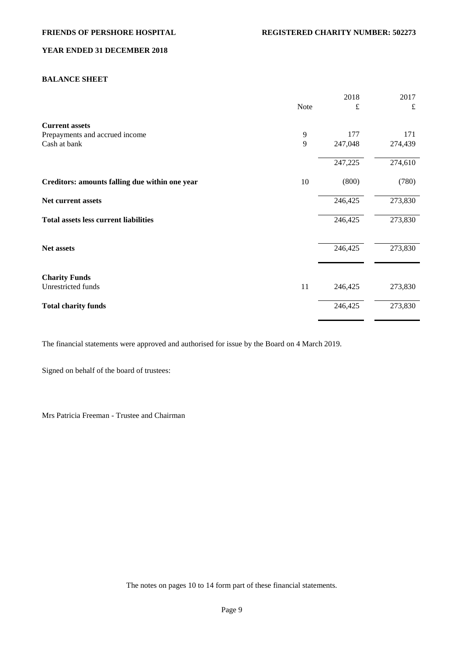## **BALANCE SHEET**

|                                                |      | 2018    | 2017    |
|------------------------------------------------|------|---------|---------|
|                                                | Note | £       | £       |
| <b>Current assets</b>                          |      |         |         |
| Prepayments and accrued income                 | 9    | 177     | 171     |
| Cash at bank                                   | 9    | 247,048 | 274,439 |
|                                                |      | 247,225 | 274,610 |
| Creditors: amounts falling due within one year | 10   | (800)   | (780)   |
| Net current assets                             |      | 246,425 | 273,830 |
| <b>Total assets less current liabilities</b>   |      | 246,425 | 273,830 |
|                                                |      |         |         |
| Net assets                                     |      | 246,425 | 273,830 |
| <b>Charity Funds</b>                           |      |         |         |
| Unrestricted funds                             | 11   | 246,425 | 273,830 |
| <b>Total charity funds</b>                     |      | 246,425 | 273,830 |

The financial statements were approved and authorised for issue by the Board on 4 March 2019.

Signed on behalf of the board of trustees:

Mrs Patricia Freeman - Trustee and Chairman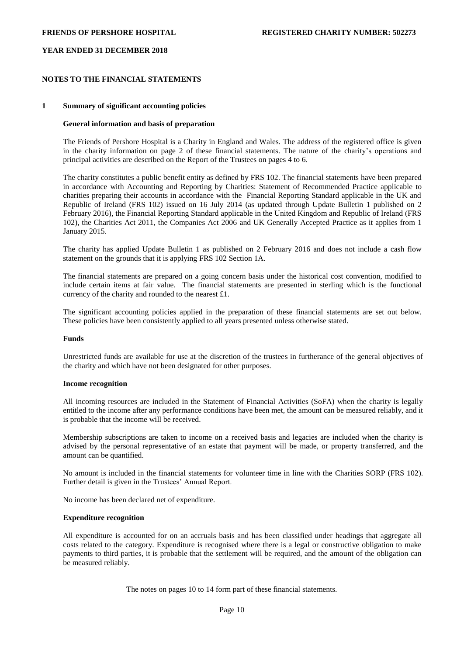## **NOTES TO THE FINANCIAL STATEMENTS**

### **1 Summary of significant accounting policies**

### **General information and basis of preparation**

The Friends of Pershore Hospital is a Charity in England and Wales. The address of the registered office is given in the charity information on page 2 of these financial statements. The nature of the charity's operations and principal activities are described on the Report of the Trustees on pages 4 to 6.

The charity constitutes a public benefit entity as defined by FRS 102. The financial statements have been prepared in accordance with Accounting and Reporting by Charities: Statement of Recommended Practice applicable to charities preparing their accounts in accordance with the Financial Reporting Standard applicable in the UK and Republic of Ireland (FRS 102) issued on 16 July 2014 (as updated through Update Bulletin 1 published on 2 February 2016), the Financial Reporting Standard applicable in the United Kingdom and Republic of Ireland (FRS 102), the Charities Act 2011, the Companies Act 2006 and UK Generally Accepted Practice as it applies from 1 January 2015.

The charity has applied Update Bulletin 1 as published on 2 February 2016 and does not include a cash flow statement on the grounds that it is applying FRS 102 Section 1A.

The financial statements are prepared on a going concern basis under the historical cost convention, modified to include certain items at fair value. The financial statements are presented in sterling which is the functional currency of the charity and rounded to the nearest £1.

The significant accounting policies applied in the preparation of these financial statements are set out below. These policies have been consistently applied to all years presented unless otherwise stated.

### **Funds**

Unrestricted funds are available for use at the discretion of the trustees in furtherance of the general objectives of the charity and which have not been designated for other purposes.

### **Income recognition**

All incoming resources are included in the Statement of Financial Activities (SoFA) when the charity is legally entitled to the income after any performance conditions have been met, the amount can be measured reliably, and it is probable that the income will be received.

Membership subscriptions are taken to income on a received basis and legacies are included when the charity is advised by the personal representative of an estate that payment will be made, or property transferred, and the amount can be quantified.

No amount is included in the financial statements for volunteer time in line with the Charities SORP (FRS 102). Further detail is given in the Trustees' Annual Report.

No income has been declared net of expenditure.

### **Expenditure recognition**

All expenditure is accounted for on an accruals basis and has been classified under headings that aggregate all costs related to the category. Expenditure is recognised where there is a legal or constructive obligation to make payments to third parties, it is probable that the settlement will be required, and the amount of the obligation can be measured reliably.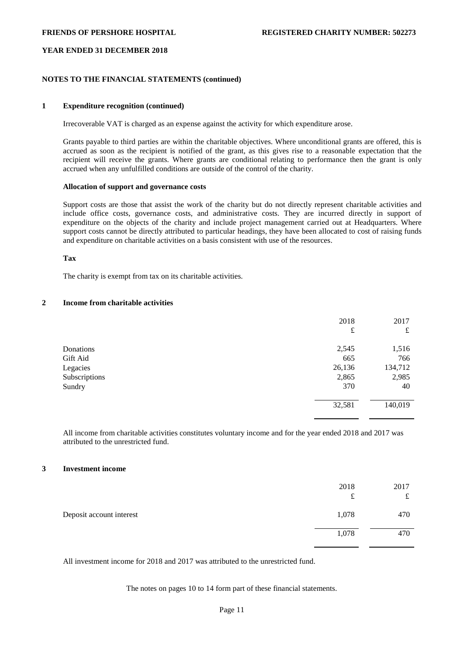## **NOTES TO THE FINANCIAL STATEMENTS (continued)**

### **1 Expenditure recognition (continued)**

Irrecoverable VAT is charged as an expense against the activity for which expenditure arose.

Grants payable to third parties are within the charitable objectives. Where unconditional grants are offered, this is accrued as soon as the recipient is notified of the grant, as this gives rise to a reasonable expectation that the recipient will receive the grants. Where grants are conditional relating to performance then the grant is only accrued when any unfulfilled conditions are outside of the control of the charity.

## **Allocation of support and governance costs**

Support costs are those that assist the work of the charity but do not directly represent charitable activities and include office costs, governance costs, and administrative costs. They are incurred directly in support of expenditure on the objects of the charity and include project management carried out at Headquarters. Where support costs cannot be directly attributed to particular headings, they have been allocated to cost of raising funds and expenditure on charitable activities on a basis consistent with use of the resources.

### **Tax**

The charity is exempt from tax on its charitable activities.

## **2 Income from charitable activities**

|               | 2018<br>£ | 2017<br>£ |
|---------------|-----------|-----------|
| Donations     | 2,545     | 1,516     |
| Gift Aid      | 665       | 766       |
| Legacies      | 26,136    | 134,712   |
| Subscriptions | 2,865     | 2,985     |
| Sundry        | 370       | 40        |
|               | 32,581    | 140,019   |

All income from charitable activities constitutes voluntary income and for the year ended 2018 and 2017 was attributed to the unrestricted fund.

### **3 Investment income**

|                          | 2018<br>£ | 2017<br>£ |
|--------------------------|-----------|-----------|
| Deposit account interest | 1,078     | 470       |
|                          | 1,078     | 470       |

All investment income for 2018 and 2017 was attributed to the unrestricted fund.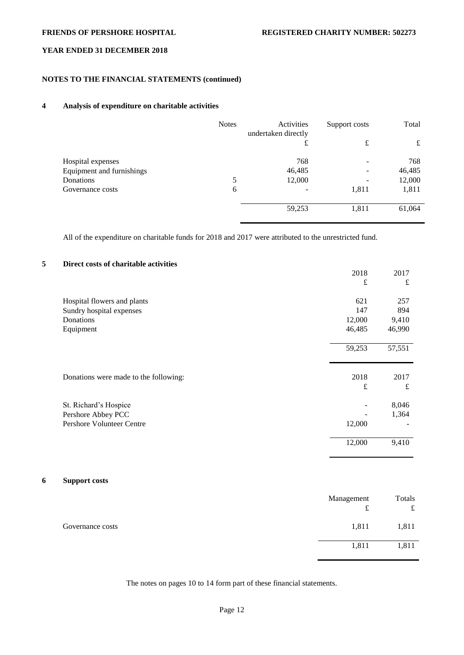# **NOTES TO THE FINANCIAL STATEMENTS (continued)**

## **4 Analysis of expenditure on charitable activities**

|                           | <b>Notes</b> | Activities<br>undertaken directly | Support costs | Total  |
|---------------------------|--------------|-----------------------------------|---------------|--------|
|                           |              | £                                 | £             | £      |
| Hospital expenses         |              | 768                               |               | 768    |
| Equipment and furnishings |              | 46,485                            |               | 46,485 |
| Donations                 | 5            | 12,000                            |               | 12,000 |
| Governance costs          | 6            |                                   | 1,811         | 1,811  |
|                           |              | 59,253                            | 1,811         | 61,064 |

All of the expenditure on charitable funds for 2018 and 2017 were attributed to the unrestricted fund.

# **5 Direct costs of charitable activities**

|                                       | 2018      | 2017   |
|---------------------------------------|-----------|--------|
|                                       | $\pounds$ | £      |
| Hospital flowers and plants           | 621       | 257    |
| Sundry hospital expenses              | 147       | 894    |
| Donations                             | 12,000    | 9,410  |
| Equipment                             | 46,485    | 46,990 |
|                                       | 59,253    | 57,551 |
| Donations were made to the following: | 2018      | 2017   |
|                                       | £         | £      |
| St. Richard's Hospice                 |           | 8,046  |
| Pershore Abbey PCC                    |           | 1,364  |
| <b>Pershore Volunteer Centre</b>      | 12,000    |        |
|                                       | 12,000    | 9,410  |

## **6 Support costs**

|                  | Management<br>$\sim$<br>t | Totals<br>£ |
|------------------|---------------------------|-------------|
| Governance costs | 1,811                     | 1,811       |
|                  | 1,811                     | 1,811       |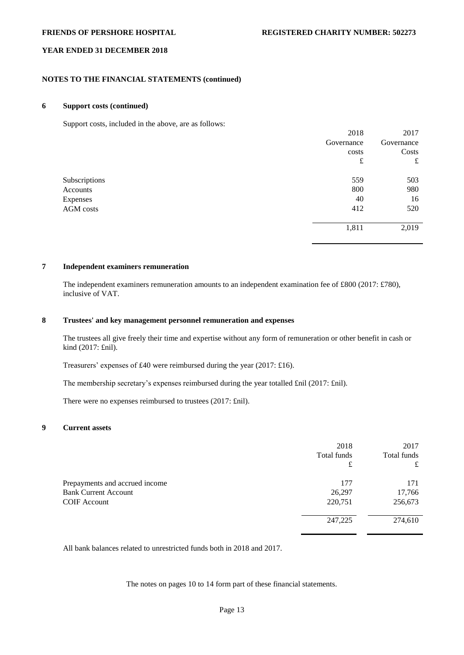## **NOTES TO THE FINANCIAL STATEMENTS (continued)**

### **6 Support costs (continued)**

Support costs, included in the above, are as follows:

|               | 2018       | 2017       |
|---------------|------------|------------|
|               | Governance | Governance |
|               | costs      | Costs      |
|               | £          | £          |
| Subscriptions | 559        | 503        |
| Accounts      | 800        | 980        |
| Expenses      | 40         | 16         |
| AGM costs     | 412        | 520        |
|               | 1,811      | 2,019      |

## **7 Independent examiners remuneration**

The independent examiners remuneration amounts to an independent examination fee of £800 (2017: £780), inclusive of VAT.

### **8 Trustees' and key management personnel remuneration and expenses**

The trustees all give freely their time and expertise without any form of remuneration or other benefit in cash or kind (2017: £nil).

Treasurers' expenses of £40 were reimbursed during the year (2017: £16).

The membership secretary's expenses reimbursed during the year totalled £nil (2017: £nil).

There were no expenses reimbursed to trustees (2017: £nil).

## **9 Current assets**

|                                | 2018        | 2017        |
|--------------------------------|-------------|-------------|
|                                | Total funds | Total funds |
|                                | £           | £           |
| Prepayments and accrued income | 177         | 171         |
| <b>Bank Current Account</b>    | 26,297      | 17,766      |
| <b>COIF</b> Account            | 220,751     | 256,673     |
|                                | 247,225     | 274,610     |

All bank balances related to unrestricted funds both in 2018 and 2017.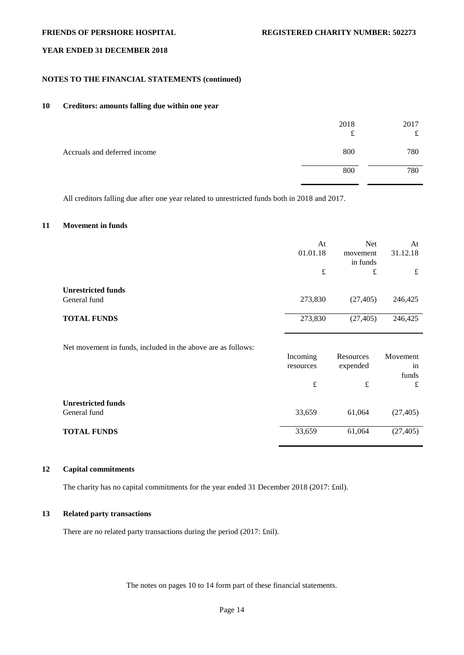## **NOTES TO THE FINANCIAL STATEMENTS (continued)**

## **10 Creditors: amounts falling due within one year**

|                              | 2018<br>£ | 2017<br>£.<br>ىد |
|------------------------------|-----------|------------------|
| Accruals and deferred income | 800       | 780              |
|                              | 800       | 780              |

All creditors falling due after one year related to unrestricted funds both in 2018 and 2017.

## **11 Movement in funds**

|                                                              | At<br>01.01.18        | <b>Net</b><br>movement<br>in funds | At<br>31.12.18 |
|--------------------------------------------------------------|-----------------------|------------------------------------|----------------|
|                                                              | $\pounds$             | £                                  | £              |
| <b>Unrestricted funds</b>                                    |                       |                                    |                |
| General fund                                                 | 273,830               | (27, 405)                          | 246,425        |
| <b>TOTAL FUNDS</b>                                           | 273,830               | (27, 405)                          | 246,425        |
|                                                              |                       |                                    |                |
| Net movement in funds, included in the above are as follows: |                       |                                    |                |
|                                                              | Incoming<br>resources | Resources<br>expended              | Movement<br>in |
|                                                              |                       |                                    | funds          |
|                                                              | $\pounds$             | £                                  | £              |
| <b>Unrestricted funds</b>                                    |                       |                                    |                |

General fund 33,659 61,064 (27,405)

# **TOTAL FUNDS** 33,659 61,064 (27,405)

### **12 Capital commitments**

The charity has no capital commitments for the year ended 31 December 2018 (2017: £nil).

## **13 Related party transactions**

There are no related party transactions during the period (2017: £nil).